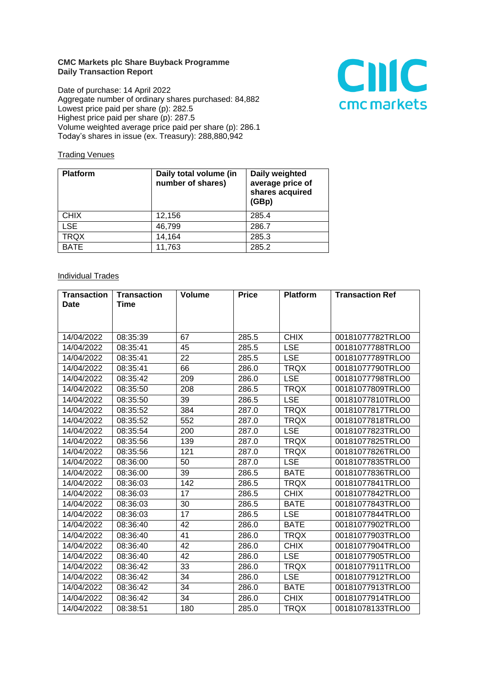## **CMC Markets plc Share Buyback Programme Daily Transaction Report**

Date of purchase: 14 April 2022 Aggregate number of ordinary shares purchased: 84,882 Lowest price paid per share (p): 282.5 Highest price paid per share (p): 287.5 Volume weighted average price paid per share (p): 286.1 Today's shares in issue (ex. Treasury): 288,880,942



## **Trading Venues**

| <b>Platform</b> | Daily total volume (in<br>number of shares) | Daily weighted<br>average price of<br>shares acquired<br>(GBp) |
|-----------------|---------------------------------------------|----------------------------------------------------------------|
| <b>CHIX</b>     | 12,156                                      | 285.4                                                          |
| <b>LSE</b>      | 46,799                                      | 286.7                                                          |
| <b>TRQX</b>     | 14,164                                      | 285.3                                                          |
| <b>BATE</b>     | 11,763                                      | 285.2                                                          |

## **Individual Trades**

| <b>Transaction</b> | <b>Transaction</b> | <b>Volume</b> | <b>Price</b> | <b>Platform</b> | <b>Transaction Ref</b> |
|--------------------|--------------------|---------------|--------------|-----------------|------------------------|
| <b>Date</b>        | Time               |               |              |                 |                        |
|                    |                    |               |              |                 |                        |
|                    |                    |               |              |                 |                        |
| 14/04/2022         | 08:35:39           | 67            | 285.5        | <b>CHIX</b>     | 00181077782TRLO0       |
| 14/04/2022         | 08:35:41           | 45            | 285.5        | <b>LSE</b>      | 00181077788TRLO0       |
| 14/04/2022         | 08:35:41           | 22            | 285.5        | <b>LSE</b>      | 00181077789TRLO0       |
| 14/04/2022         | 08:35:41           | 66            | 286.0        | <b>TRQX</b>     | 00181077790TRLO0       |
| 14/04/2022         | 08:35:42           | 209           | 286.0        | <b>LSE</b>      | 00181077798TRLO0       |
| 14/04/2022         | 08:35:50           | 208           | 286.5        | <b>TRQX</b>     | 00181077809TRLO0       |
| 14/04/2022         | 08:35:50           | 39            | 286.5        | <b>LSE</b>      | 00181077810TRLO0       |
| 14/04/2022         | 08:35:52           | 384           | 287.0        | <b>TRQX</b>     | 00181077817TRLO0       |
| 14/04/2022         | 08:35:52           | 552           | 287.0        | <b>TRQX</b>     | 00181077818TRLO0       |
| 14/04/2022         | 08:35:54           | 200           | 287.0        | <b>LSE</b>      | 00181077823TRLO0       |
| 14/04/2022         | 08:35:56           | 139           | 287.0        | <b>TRQX</b>     | 00181077825TRLO0       |
| 14/04/2022         | 08:35:56           | 121           | 287.0        | <b>TRQX</b>     | 00181077826TRLO0       |
| 14/04/2022         | 08:36:00           | 50            | 287.0        | <b>LSE</b>      | 00181077835TRLO0       |
| 14/04/2022         | 08:36:00           | 39            | 286.5        | <b>BATE</b>     | 00181077836TRLO0       |
| 14/04/2022         | 08:36:03           | 142           | 286.5        | <b>TRQX</b>     | 00181077841TRLO0       |
| 14/04/2022         | 08:36:03           | 17            | 286.5        | <b>CHIX</b>     | 00181077842TRLO0       |
| 14/04/2022         | 08:36:03           | 30            | 286.5        | <b>BATE</b>     | 00181077843TRLO0       |
| 14/04/2022         | 08:36:03           | 17            | 286.5        | <b>LSE</b>      | 00181077844TRLO0       |
| 14/04/2022         | 08:36:40           | 42            | 286.0        | <b>BATE</b>     | 00181077902TRLO0       |
| 14/04/2022         | 08:36:40           | 41            | 286.0        | <b>TROX</b>     | 00181077903TRLO0       |
| 14/04/2022         | 08:36:40           | 42            | 286.0        | <b>CHIX</b>     | 00181077904TRLO0       |
| 14/04/2022         | 08:36:40           | 42            | 286.0        | <b>LSE</b>      | 00181077905TRLO0       |
| 14/04/2022         | 08:36:42           | 33            | 286.0        | <b>TRQX</b>     | 00181077911TRLO0       |
| 14/04/2022         | 08:36:42           | 34            | 286.0        | <b>LSE</b>      | 00181077912TRLO0       |
| 14/04/2022         | 08:36:42           | 34            | 286.0        | <b>BATE</b>     | 00181077913TRLO0       |
| 14/04/2022         | 08:36:42           | 34            | 286.0        | <b>CHIX</b>     | 00181077914TRLO0       |
| 14/04/2022         | 08:38:51           | 180           | 285.0        | <b>TRQX</b>     | 00181078133TRLO0       |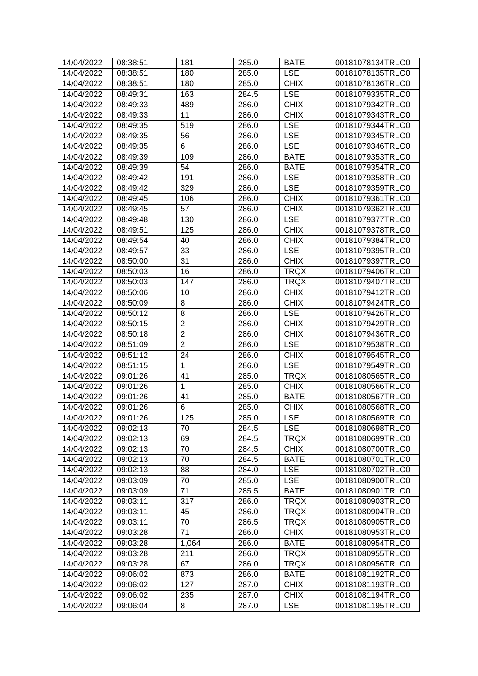| 14/04/2022 | 08:38:51 | 181            | 285.0 | <b>BATE</b> | 00181078134TRLO0 |
|------------|----------|----------------|-------|-------------|------------------|
| 14/04/2022 | 08:38:51 | 180            | 285.0 | <b>LSE</b>  | 00181078135TRLO0 |
| 14/04/2022 | 08:38:51 | 180            | 285.0 | <b>CHIX</b> | 00181078136TRLO0 |
| 14/04/2022 | 08:49:31 | 163            | 284.5 | <b>LSE</b>  | 00181079335TRLO0 |
| 14/04/2022 | 08:49:33 | 489            | 286.0 | <b>CHIX</b> | 00181079342TRLO0 |
| 14/04/2022 | 08:49:33 | 11             | 286.0 | <b>CHIX</b> | 00181079343TRLO0 |
| 14/04/2022 | 08:49:35 | 519            | 286.0 | <b>LSE</b>  | 00181079344TRLO0 |
| 14/04/2022 | 08:49:35 | 56             | 286.0 | <b>LSE</b>  | 00181079345TRLO0 |
| 14/04/2022 | 08:49:35 | 6              | 286.0 | <b>LSE</b>  | 00181079346TRLO0 |
| 14/04/2022 | 08:49:39 | 109            | 286.0 | <b>BATE</b> | 00181079353TRLO0 |
| 14/04/2022 | 08:49:39 | 54             | 286.0 | <b>BATE</b> | 00181079354TRLO0 |
| 14/04/2022 | 08:49:42 | 191            | 286.0 | <b>LSE</b>  | 00181079358TRLO0 |
| 14/04/2022 | 08:49:42 | 329            | 286.0 | <b>LSE</b>  | 00181079359TRLO0 |
| 14/04/2022 | 08:49:45 | 106            | 286.0 | <b>CHIX</b> | 00181079361TRLO0 |
| 14/04/2022 | 08:49:45 | 57             | 286.0 | <b>CHIX</b> | 00181079362TRLO0 |
| 14/04/2022 | 08:49:48 | 130            | 286.0 | <b>LSE</b>  | 00181079377TRLO0 |
| 14/04/2022 | 08:49:51 | 125            | 286.0 | <b>CHIX</b> | 00181079378TRLO0 |
| 14/04/2022 | 08:49:54 | 40             | 286.0 | <b>CHIX</b> | 00181079384TRLO0 |
| 14/04/2022 | 08:49:57 | 33             | 286.0 | <b>LSE</b>  | 00181079395TRLO0 |
| 14/04/2022 | 08:50:00 | 31             | 286.0 | <b>CHIX</b> | 00181079397TRLO0 |
| 14/04/2022 | 08:50:03 | 16             | 286.0 | <b>TRQX</b> | 00181079406TRLO0 |
| 14/04/2022 | 08:50:03 | 147            | 286.0 | <b>TRQX</b> | 00181079407TRLO0 |
| 14/04/2022 | 08:50:06 | 10             | 286.0 | <b>CHIX</b> | 00181079412TRLO0 |
| 14/04/2022 | 08:50:09 | 8              | 286.0 | <b>CHIX</b> | 00181079424TRLO0 |
| 14/04/2022 | 08:50:12 | 8              | 286.0 | <b>LSE</b>  | 00181079426TRLO0 |
| 14/04/2022 | 08:50:15 | $\overline{c}$ | 286.0 | <b>CHIX</b> | 00181079429TRLO0 |
| 14/04/2022 | 08:50:18 | $\overline{c}$ | 286.0 | <b>CHIX</b> | 00181079436TRLO0 |
| 14/04/2022 | 08:51:09 | $\overline{2}$ | 286.0 | <b>LSE</b>  | 00181079538TRLO0 |
| 14/04/2022 | 08:51:12 | 24             | 286.0 | <b>CHIX</b> | 00181079545TRLO0 |
| 14/04/2022 | 08:51:15 | 1              | 286.0 | <b>LSE</b>  | 00181079549TRLO0 |
| 14/04/2022 | 09:01:26 | 41             | 285.0 | <b>TRQX</b> | 00181080565TRLO0 |
| 14/04/2022 | 09:01:26 | 1              | 285.0 | <b>CHIX</b> | 00181080566TRLO0 |
| 14/04/2022 | 09:01:26 | 41             | 285.0 | <b>BATE</b> | 00181080567TRLO0 |
| 14/04/2022 | 09:01:26 | 6              | 285.0 | <b>CHIX</b> | 00181080568TRLO0 |
| 14/04/2022 | 09:01:26 | 125            | 285.0 | <b>LSE</b>  | 00181080569TRLO0 |
| 14/04/2022 | 09:02:13 | 70             | 284.5 | <b>LSE</b>  | 00181080698TRLO0 |
| 14/04/2022 | 09:02:13 | 69             | 284.5 | <b>TRQX</b> | 00181080699TRLO0 |
| 14/04/2022 | 09:02:13 | 70             | 284.5 | <b>CHIX</b> | 00181080700TRLO0 |
| 14/04/2022 | 09:02:13 | 70             | 284.5 | <b>BATE</b> | 00181080701TRLO0 |
| 14/04/2022 | 09:02:13 | 88             | 284.0 | <b>LSE</b>  | 00181080702TRLO0 |
| 14/04/2022 | 09:03:09 | 70             | 285.0 | <b>LSE</b>  | 00181080900TRLO0 |
| 14/04/2022 | 09:03:09 | 71             | 285.5 | <b>BATE</b> | 00181080901TRLO0 |
| 14/04/2022 | 09:03:11 | 317            | 286.0 | <b>TRQX</b> | 00181080903TRLO0 |
| 14/04/2022 | 09:03:11 | 45             | 286.0 | <b>TRQX</b> | 00181080904TRLO0 |
| 14/04/2022 | 09:03:11 | 70             | 286.5 | <b>TRQX</b> | 00181080905TRLO0 |
| 14/04/2022 | 09:03:28 | 71             | 286.0 | <b>CHIX</b> | 00181080953TRLO0 |
| 14/04/2022 | 09:03:28 | 1,064          | 286.0 | <b>BATE</b> | 00181080954TRLO0 |
| 14/04/2022 | 09:03:28 | 211            | 286.0 | <b>TRQX</b> | 00181080955TRLO0 |
| 14/04/2022 | 09:03:28 | 67             | 286.0 | <b>TRQX</b> | 00181080956TRLO0 |
| 14/04/2022 | 09:06:02 | 873            | 286.0 | <b>BATE</b> | 00181081192TRLO0 |
| 14/04/2022 | 09:06:02 | 127            | 287.0 | <b>CHIX</b> | 00181081193TRLO0 |
| 14/04/2022 | 09:06:02 | 235            | 287.0 | <b>CHIX</b> | 00181081194TRLO0 |
| 14/04/2022 | 09:06:04 | 8              | 287.0 | <b>LSE</b>  | 00181081195TRLO0 |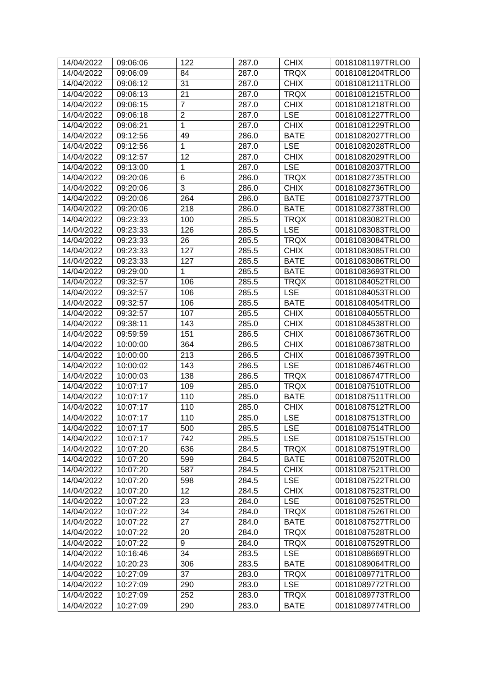| 14/04/2022 | 09:06:06 | 122            | 287.0 | <b>CHIX</b> | 00181081197TRLO0 |
|------------|----------|----------------|-------|-------------|------------------|
| 14/04/2022 | 09:06:09 | 84             | 287.0 | <b>TRQX</b> | 00181081204TRLO0 |
| 14/04/2022 | 09:06:12 | 31             | 287.0 | <b>CHIX</b> | 00181081211TRLO0 |
| 14/04/2022 | 09:06:13 | 21             | 287.0 | <b>TRQX</b> | 00181081215TRLO0 |
| 14/04/2022 | 09:06:15 | $\overline{7}$ | 287.0 | <b>CHIX</b> | 00181081218TRLO0 |
| 14/04/2022 | 09:06:18 | 2              | 287.0 | <b>LSE</b>  | 00181081227TRLO0 |
| 14/04/2022 | 09:06:21 | 1              | 287.0 | <b>CHIX</b> | 00181081229TRLO0 |
| 14/04/2022 | 09:12:56 | 49             | 286.0 | <b>BATE</b> | 00181082027TRLO0 |
| 14/04/2022 | 09:12:56 | 1              | 287.0 | <b>LSE</b>  | 00181082028TRLO0 |
| 14/04/2022 | 09:12:57 | 12             | 287.0 | <b>CHIX</b> | 00181082029TRLO0 |
| 14/04/2022 | 09:13:00 | 1              | 287.0 | <b>LSE</b>  | 00181082037TRLO0 |
| 14/04/2022 | 09:20:06 | 6              | 286.0 | <b>TRQX</b> | 00181082735TRLO0 |
| 14/04/2022 | 09:20:06 | 3              | 286.0 | <b>CHIX</b> | 00181082736TRLO0 |
| 14/04/2022 | 09:20:06 | 264            | 286.0 | <b>BATE</b> | 00181082737TRLO0 |
| 14/04/2022 | 09:20:06 | 218            | 286.0 | <b>BATE</b> | 00181082738TRLO0 |
| 14/04/2022 | 09:23:33 | 100            | 285.5 | <b>TRQX</b> | 00181083082TRLO0 |
| 14/04/2022 | 09:23:33 | 126            | 285.5 | <b>LSE</b>  | 00181083083TRLO0 |
| 14/04/2022 | 09:23:33 | 26             | 285.5 | <b>TRQX</b> | 00181083084TRLO0 |
| 14/04/2022 | 09:23:33 | 127            | 285.5 | <b>CHIX</b> | 00181083085TRLO0 |
| 14/04/2022 | 09:23:33 | 127            | 285.5 | <b>BATE</b> | 00181083086TRLO0 |
| 14/04/2022 | 09:29:00 | 1              | 285.5 | <b>BATE</b> | 00181083693TRLO0 |
| 14/04/2022 | 09:32:57 | 106            | 285.5 | <b>TRQX</b> | 00181084052TRLO0 |
| 14/04/2022 | 09:32:57 | 106            | 285.5 | <b>LSE</b>  | 00181084053TRLO0 |
| 14/04/2022 | 09:32:57 | 106            | 285.5 | <b>BATE</b> | 00181084054TRLO0 |
| 14/04/2022 | 09:32:57 | 107            | 285.5 | <b>CHIX</b> | 00181084055TRLO0 |
| 14/04/2022 | 09:38:11 | 143            | 285.0 | <b>CHIX</b> | 00181084538TRLO0 |
| 14/04/2022 | 09:59:59 | 151            | 286.5 | <b>CHIX</b> | 00181086736TRLO0 |
| 14/04/2022 | 10:00:00 | 364            | 286.5 | <b>CHIX</b> | 00181086738TRLO0 |
| 14/04/2022 | 10:00:00 | 213            | 286.5 | <b>CHIX</b> | 00181086739TRLO0 |
| 14/04/2022 | 10:00:02 | 143            | 286.5 | <b>LSE</b>  | 00181086746TRLO0 |
| 14/04/2022 | 10:00:03 | 138            | 286.5 | <b>TRQX</b> | 00181086747TRLO0 |
| 14/04/2022 | 10:07:17 | 109            | 285.0 | <b>TRQX</b> | 00181087510TRLO0 |
| 14/04/2022 | 10:07:17 | 110            | 285.0 | <b>BATE</b> | 00181087511TRLO0 |
| 14/04/2022 | 10:07:17 | 110            | 285.0 | <b>CHIX</b> | 00181087512TRLO0 |
| 14/04/2022 | 10:07:17 | 110            | 285.0 | <b>LSE</b>  | 00181087513TRLO0 |
| 14/04/2022 | 10:07:17 | 500            | 285.5 | <b>LSE</b>  | 00181087514TRLO0 |
| 14/04/2022 | 10:07:17 | 742            | 285.5 | <b>LSE</b>  | 00181087515TRLO0 |
| 14/04/2022 | 10:07:20 | 636            | 284.5 | <b>TRQX</b> | 00181087519TRLO0 |
| 14/04/2022 | 10:07:20 | 599            | 284.5 | <b>BATE</b> | 00181087520TRLO0 |
| 14/04/2022 | 10:07:20 | 587            | 284.5 | <b>CHIX</b> | 00181087521TRLO0 |
| 14/04/2022 | 10:07:20 | 598            | 284.5 | <b>LSE</b>  | 00181087522TRLO0 |
| 14/04/2022 | 10:07:20 | 12             | 284.5 | <b>CHIX</b> | 00181087523TRLO0 |
| 14/04/2022 | 10:07:22 | 23             | 284.0 | <b>LSE</b>  | 00181087525TRLO0 |
| 14/04/2022 | 10:07:22 | 34             | 284.0 | <b>TRQX</b> | 00181087526TRLO0 |
| 14/04/2022 | 10:07:22 | 27             | 284.0 | <b>BATE</b> | 00181087527TRLO0 |
| 14/04/2022 | 10:07:22 | 20             | 284.0 | <b>TRQX</b> | 00181087528TRLO0 |
| 14/04/2022 | 10:07:22 | 9              | 284.0 | <b>TRQX</b> | 00181087529TRLO0 |
| 14/04/2022 | 10:16:46 | 34             | 283.5 | <b>LSE</b>  | 00181088669TRLO0 |
| 14/04/2022 | 10:20:23 | 306            | 283.5 | <b>BATE</b> | 00181089064TRLO0 |
| 14/04/2022 | 10:27:09 | 37             | 283.0 | TRQX        | 00181089771TRLO0 |
| 14/04/2022 | 10:27:09 | 290            | 283.0 | <b>LSE</b>  | 00181089772TRLO0 |
| 14/04/2022 | 10:27:09 | 252            | 283.0 | <b>TRQX</b> | 00181089773TRLO0 |
| 14/04/2022 | 10:27:09 | 290            | 283.0 | <b>BATE</b> | 00181089774TRLO0 |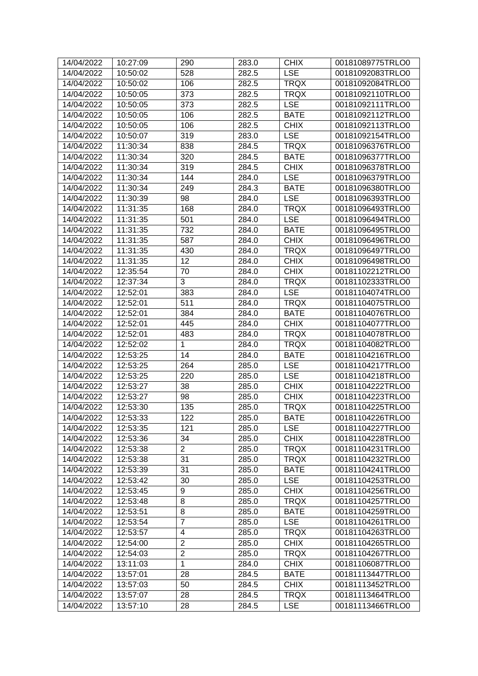| 14/04/2022               | 10:27:09             | 290                 | 283.0 | <b>CHIX</b>                | 00181089775TRLO0                     |
|--------------------------|----------------------|---------------------|-------|----------------------------|--------------------------------------|
| 14/04/2022               | 10:50:02             | 528                 | 282.5 | <b>LSE</b>                 | 00181092083TRLO0                     |
| 14/04/2022               | 10:50:02             | 106                 | 282.5 | <b>TRQX</b>                | 00181092084TRLO0                     |
| 14/04/2022               | 10:50:05             | 373                 | 282.5 | <b>TRQX</b>                | 00181092110TRLO0                     |
| 14/04/2022               | 10:50:05             | 373                 | 282.5 | <b>LSE</b>                 | 00181092111TRLO0                     |
| 14/04/2022               | 10:50:05             | 106                 | 282.5 | <b>BATE</b>                | 00181092112TRLO0                     |
| 14/04/2022               | 10:50:05             | 106                 | 282.5 | <b>CHIX</b>                | 00181092113TRLO0                     |
| 14/04/2022               | 10:50:07             | 319                 | 283.0 | <b>LSE</b>                 | 00181092154TRLO0                     |
| 14/04/2022               | 11:30:34             | 838                 | 284.5 | <b>TRQX</b>                | 00181096376TRLO0                     |
| 14/04/2022               | 11:30:34             | 320                 | 284.5 | <b>BATE</b>                | 00181096377TRLO0                     |
| 14/04/2022               | 11:30:34             | 319                 | 284.5 | <b>CHIX</b>                | 00181096378TRLO0                     |
| 14/04/2022               | 11:30:34             | 144                 | 284.0 | <b>LSE</b>                 | 00181096379TRLO0                     |
| 14/04/2022               | 11:30:34             | 249                 | 284.3 | <b>BATE</b>                | 00181096380TRLO0                     |
| 14/04/2022               | 11:30:39             | 98                  | 284.0 | <b>LSE</b>                 | 00181096393TRLO0                     |
| 14/04/2022               | 11:31:35             | 168                 | 284.0 | <b>TRQX</b>                | 00181096493TRLO0                     |
| 14/04/2022               | 11:31:35             | 501                 | 284.0 | <b>LSE</b>                 | 00181096494TRLO0                     |
| 14/04/2022               | 11:31:35             | 732                 | 284.0 | <b>BATE</b>                | 00181096495TRLO0                     |
| 14/04/2022               | 11:31:35             | 587                 | 284.0 | <b>CHIX</b>                | 00181096496TRLO0                     |
| 14/04/2022               | 11:31:35             | 430                 | 284.0 | <b>TRQX</b>                | 00181096497TRLO0                     |
| 14/04/2022               | 11:31:35             | 12                  | 284.0 | <b>CHIX</b>                | 00181096498TRLO0                     |
| 14/04/2022               | 12:35:54             | 70                  | 284.0 | <b>CHIX</b>                | 00181102212TRLO0                     |
| 14/04/2022               | 12:37:34             | 3                   | 284.0 | <b>TRQX</b>                | 00181102333TRLO0                     |
| 14/04/2022               | 12:52:01             | 383                 | 284.0 | <b>LSE</b>                 | 00181104074TRLO0                     |
| 14/04/2022               | 12:52:01             | 511                 | 284.0 | <b>TRQX</b>                | 00181104075TRLO0                     |
| 14/04/2022               | 12:52:01             | 384                 | 284.0 | <b>BATE</b>                | 00181104076TRLO0                     |
| 14/04/2022               | 12:52:01             | 445                 | 284.0 | <b>CHIX</b>                | 00181104077TRLO0                     |
| 14/04/2022               | 12:52:01             | 483                 | 284.0 | <b>TRQX</b>                | 00181104078TRLO0                     |
| 14/04/2022               | 12:52:02             | 1                   | 284.0 | <b>TRQX</b>                | 00181104082TRLO0                     |
| 14/04/2022               | 12:53:25             | 14                  | 284.0 | <b>BATE</b>                | 00181104216TRLO0                     |
| 14/04/2022               | 12:53:25             | 264                 | 285.0 | <b>LSE</b>                 | 00181104217TRLO0                     |
| 14/04/2022               | 12:53:25             | 220                 | 285.0 | <b>LSE</b>                 | 00181104218TRLO0                     |
| 14/04/2022               | 12:53:27             | 38                  | 285.0 | <b>CHIX</b>                | 00181104222TRLO0                     |
| 14/04/2022               | 12:53:27             | 98                  | 285.0 | <b>CHIX</b>                | 00181104223TRLO0                     |
| 14/04/2022               | 12:53:30             | 135                 | 285.0 | <b>TRQX</b>                | 00181104225TRLO0                     |
| 14/04/2022               | 12:53:33             | 122                 | 285.0 | <b>BATE</b>                | 00181104226TRLO0                     |
| 14/04/2022               | 12:53:35             | 121                 | 285.0 | <b>LSE</b>                 | 00181104227TRLO0                     |
| 14/04/2022               | 12:53:36             | 34                  | 285.0 | <b>CHIX</b>                | 00181104228TRLO0                     |
| 14/04/2022               | 12:53:38             | $\overline{2}$      | 285.0 | <b>TRQX</b>                | 00181104231TRLO0                     |
| 14/04/2022               | 12:53:38             | 31                  | 285.0 | <b>TRQX</b>                | 00181104232TRLO0                     |
| 14/04/2022               | 12:53:39             | 31                  | 285.0 | <b>BATE</b>                | 00181104241TRLO0                     |
| 14/04/2022               | 12:53:42             | 30                  | 285.0 | <b>LSE</b>                 | 00181104253TRLO0                     |
| 14/04/2022               | 12:53:45             | 9                   | 285.0 | <b>CHIX</b>                | 00181104256TRLO0                     |
|                          |                      |                     |       |                            |                                      |
| 14/04/2022               | 12:53:48             | 8<br>8              | 285.0 | <b>TRQX</b><br><b>BATE</b> | 00181104257TRLO0<br>00181104259TRLO0 |
| 14/04/2022<br>14/04/2022 | 12:53:51<br>12:53:54 | 7                   | 285.0 |                            |                                      |
|                          |                      |                     | 285.0 | <b>LSE</b>                 | 00181104261TRLO0                     |
| 14/04/2022               | 12:53:57             | 4<br>$\overline{2}$ | 285.0 | <b>TRQX</b>                | 00181104263TRLO0                     |
| 14/04/2022               | 12:54:00             |                     | 285.0 | <b>CHIX</b>                | 00181104265TRLO0                     |
| 14/04/2022               | 12:54:03             | $\overline{c}$      | 285.0 | <b>TRQX</b>                | 00181104267TRLO0                     |
| 14/04/2022               | 13:11:03             | 1                   | 284.0 | <b>CHIX</b>                | 00181106087TRLO0                     |
| 14/04/2022<br>14/04/2022 | 13:57:01             | 28                  | 284.5 | <b>BATE</b>                | 00181113447TRLO0<br>00181113452TRLO0 |
|                          | 13:57:03             | 50                  | 284.5 | <b>CHIX</b>                |                                      |
| 14/04/2022               | 13:57:07             | 28                  | 284.5 | <b>TRQX</b>                | 00181113464TRLO0                     |
| 14/04/2022               | 13:57:10             | 28                  | 284.5 | <b>LSE</b>                 | 00181113466TRLO0                     |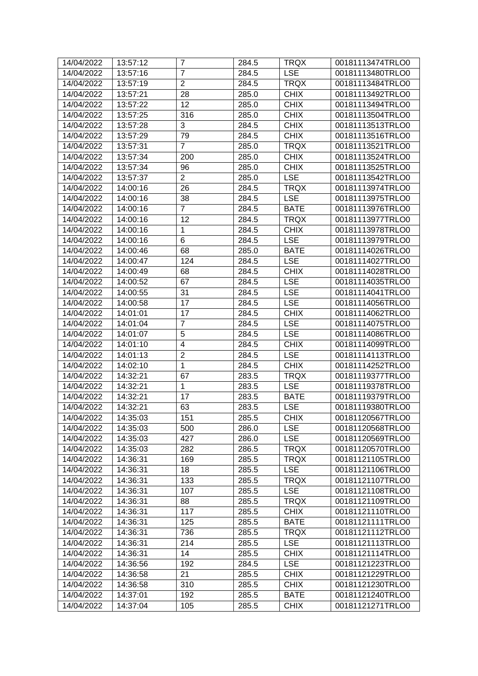| 14/04/2022 | 13:57:12 | 7              | 284.5 | <b>TRQX</b> | 00181113474TRLO0 |
|------------|----------|----------------|-------|-------------|------------------|
| 14/04/2022 | 13:57:16 | $\overline{7}$ | 284.5 | <b>LSE</b>  | 00181113480TRLO0 |
| 14/04/2022 | 13:57:19 | $\overline{2}$ | 284.5 | <b>TRQX</b> | 00181113484TRLO0 |
| 14/04/2022 | 13:57:21 | 28             | 285.0 | <b>CHIX</b> | 00181113492TRLO0 |
| 14/04/2022 | 13:57:22 | 12             | 285.0 | <b>CHIX</b> | 00181113494TRLO0 |
| 14/04/2022 | 13:57:25 | 316            | 285.0 | <b>CHIX</b> | 00181113504TRLO0 |
| 14/04/2022 | 13:57:28 | 3              | 284.5 | <b>CHIX</b> | 00181113513TRLO0 |
| 14/04/2022 | 13:57:29 | 79             | 284.5 | <b>CHIX</b> | 00181113516TRLO0 |
| 14/04/2022 | 13:57:31 | $\overline{7}$ | 285.0 | <b>TRQX</b> | 00181113521TRLO0 |
| 14/04/2022 | 13:57:34 | 200            | 285.0 | <b>CHIX</b> | 00181113524TRLO0 |
| 14/04/2022 | 13:57:34 | 96             | 285.0 | <b>CHIX</b> | 00181113525TRLO0 |
| 14/04/2022 | 13:57:37 | $\overline{2}$ | 285.0 | <b>LSE</b>  | 00181113542TRLO0 |
| 14/04/2022 | 14:00:16 | 26             | 284.5 | <b>TRQX</b> | 00181113974TRLO0 |
| 14/04/2022 | 14:00:16 | 38             | 284.5 | <b>LSE</b>  | 00181113975TRLO0 |
| 14/04/2022 | 14:00:16 | $\overline{7}$ | 284.5 | <b>BATE</b> | 00181113976TRLO0 |
| 14/04/2022 | 14:00:16 | 12             | 284.5 | <b>TRQX</b> | 00181113977TRLO0 |
| 14/04/2022 | 14:00:16 | 1              | 284.5 | <b>CHIX</b> | 00181113978TRLO0 |
| 14/04/2022 | 14:00:16 | 6              | 284.5 | <b>LSE</b>  | 00181113979TRLO0 |
| 14/04/2022 | 14:00:46 | 68             | 285.0 | <b>BATE</b> | 00181114026TRLO0 |
| 14/04/2022 | 14:00:47 | 124            | 284.5 | <b>LSE</b>  | 00181114027TRLO0 |
| 14/04/2022 | 14:00:49 | 68             | 284.5 | <b>CHIX</b> | 00181114028TRLO0 |
| 14/04/2022 | 14:00:52 | 67             | 284.5 | <b>LSE</b>  | 00181114035TRLO0 |
| 14/04/2022 | 14:00:55 | 31             | 284.5 | <b>LSE</b>  | 00181114041TRLO0 |
| 14/04/2022 | 14:00:58 | 17             | 284.5 | <b>LSE</b>  | 00181114056TRLO0 |
| 14/04/2022 | 14:01:01 | 17             | 284.5 | <b>CHIX</b> | 00181114062TRLO0 |
| 14/04/2022 | 14:01:04 | $\overline{7}$ | 284.5 | <b>LSE</b>  | 00181114075TRLO0 |
| 14/04/2022 | 14:01:07 | 5              | 284.5 | <b>LSE</b>  | 00181114086TRLO0 |
| 14/04/2022 | 14:01:10 | 4              | 284.5 | <b>CHIX</b> | 00181114099TRLO0 |
| 14/04/2022 | 14:01:13 | $\overline{2}$ | 284.5 | <b>LSE</b>  | 00181114113TRLO0 |
| 14/04/2022 | 14:02:10 | 1              | 284.5 | <b>CHIX</b> | 00181114252TRLO0 |
| 14/04/2022 | 14:32:21 | 67             | 283.5 | <b>TRQX</b> | 00181119377TRLO0 |
| 14/04/2022 | 14:32:21 | 1              | 283.5 | <b>LSE</b>  | 00181119378TRLO0 |
| 14/04/2022 | 14:32:21 | 17             | 283.5 | <b>BATE</b> | 00181119379TRLO0 |
| 14/04/2022 | 14:32:21 | 63             | 283.5 | <b>LSE</b>  | 00181119380TRLO0 |
| 14/04/2022 | 14:35:03 | 151            | 285.5 | <b>CHIX</b> | 00181120567TRLO0 |
| 14/04/2022 | 14:35:03 | 500            | 286.0 | <b>LSE</b>  | 00181120568TRLO0 |
| 14/04/2022 | 14:35:03 | 427            | 286.0 | <b>LSE</b>  | 00181120569TRLO0 |
| 14/04/2022 | 14:35:03 | 282            | 286.5 | <b>TRQX</b> | 00181120570TRLO0 |
| 14/04/2022 | 14:36:31 | 169            | 285.5 | <b>TRQX</b> | 00181121105TRLO0 |
| 14/04/2022 | 14:36:31 | 18             | 285.5 | <b>LSE</b>  | 00181121106TRLO0 |
| 14/04/2022 | 14:36:31 | 133            | 285.5 | <b>TRQX</b> | 00181121107TRLO0 |
|            |          |                |       |             |                  |
| 14/04/2022 | 14:36:31 | 107            | 285.5 | <b>LSE</b>  | 00181121108TRLO0 |
| 14/04/2022 | 14:36:31 | 88             | 285.5 | <b>TRQX</b> | 00181121109TRLO0 |
| 14/04/2022 | 14:36:31 | 117            | 285.5 | <b>CHIX</b> | 00181121110TRLO0 |
| 14/04/2022 | 14:36:31 | 125            | 285.5 | <b>BATE</b> | 00181121111TRLO0 |
| 14/04/2022 | 14:36:31 | 736            | 285.5 | <b>TRQX</b> | 00181121112TRLO0 |
| 14/04/2022 | 14:36:31 | 214            | 285.5 | <b>LSE</b>  | 00181121113TRLO0 |
| 14/04/2022 | 14:36:31 | 14             | 285.5 | <b>CHIX</b> | 00181121114TRLO0 |
| 14/04/2022 | 14:36:56 | 192            | 284.5 | <b>LSE</b>  | 00181121223TRLO0 |
| 14/04/2022 | 14:36:58 | 21             | 285.5 | <b>CHIX</b> | 00181121229TRLO0 |
| 14/04/2022 | 14:36:58 | 310            | 285.5 | <b>CHIX</b> | 00181121230TRLO0 |
| 14/04/2022 | 14:37:01 | 192            | 285.5 | <b>BATE</b> | 00181121240TRLO0 |
| 14/04/2022 | 14:37:04 | 105            | 285.5 | <b>CHIX</b> | 00181121271TRLO0 |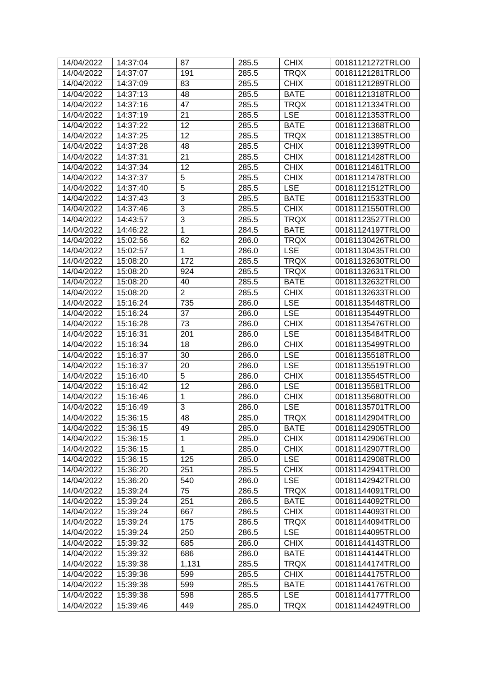| 14/04/2022 | 14:37:04 | 87             | 285.5 | <b>CHIX</b> | 00181121272TRLO0 |
|------------|----------|----------------|-------|-------------|------------------|
| 14/04/2022 | 14:37:07 | 191            | 285.5 | <b>TRQX</b> | 00181121281TRLO0 |
| 14/04/2022 | 14:37:09 | 83             | 285.5 | <b>CHIX</b> | 00181121289TRLO0 |
| 14/04/2022 | 14:37:13 | 48             | 285.5 | <b>BATE</b> | 00181121318TRLO0 |
| 14/04/2022 | 14:37:16 | 47             | 285.5 | <b>TRQX</b> | 00181121334TRLO0 |
| 14/04/2022 | 14:37:19 | 21             | 285.5 | <b>LSE</b>  | 00181121353TRLO0 |
| 14/04/2022 | 14:37:22 | 12             | 285.5 | <b>BATE</b> | 00181121368TRLO0 |
| 14/04/2022 | 14:37:25 | 12             | 285.5 | <b>TRQX</b> | 00181121385TRLO0 |
| 14/04/2022 | 14:37:28 | 48             | 285.5 | <b>CHIX</b> | 00181121399TRLO0 |
| 14/04/2022 | 14:37:31 | 21             | 285.5 | <b>CHIX</b> | 00181121428TRLO0 |
| 14/04/2022 | 14:37:34 | 12             | 285.5 | <b>CHIX</b> | 00181121461TRLO0 |
| 14/04/2022 | 14:37:37 | 5              | 285.5 | <b>CHIX</b> | 00181121478TRLO0 |
| 14/04/2022 | 14:37:40 | $\overline{5}$ | 285.5 | <b>LSE</b>  | 00181121512TRLO0 |
| 14/04/2022 | 14:37:43 | 3              | 285.5 | <b>BATE</b> | 00181121533TRLO0 |
| 14/04/2022 | 14:37:46 | 3              | 285.5 | <b>CHIX</b> | 00181121550TRLO0 |
| 14/04/2022 | 14:43:57 | 3              | 285.5 | <b>TRQX</b> | 00181123527TRLO0 |
| 14/04/2022 | 14:46:22 | 1              | 284.5 | <b>BATE</b> | 00181124197TRLO0 |
| 14/04/2022 | 15:02:56 | 62             | 286.0 | <b>TRQX</b> | 00181130426TRLO0 |
| 14/04/2022 | 15:02:57 | 1              | 286.0 | <b>LSE</b>  | 00181130435TRLO0 |
| 14/04/2022 | 15:08:20 | 172            | 285.5 | <b>TRQX</b> | 00181132630TRLO0 |
| 14/04/2022 | 15:08:20 | 924            | 285.5 | <b>TRQX</b> | 00181132631TRLO0 |
| 14/04/2022 | 15:08:20 | 40             | 285.5 | <b>BATE</b> | 00181132632TRLO0 |
| 14/04/2022 | 15:08:20 | $\overline{2}$ | 285.5 | <b>CHIX</b> | 00181132633TRLO0 |
| 14/04/2022 | 15:16:24 | 735            | 286.0 | <b>LSE</b>  | 00181135448TRLO0 |
| 14/04/2022 | 15:16:24 | 37             | 286.0 | <b>LSE</b>  | 00181135449TRLO0 |
| 14/04/2022 | 15:16:28 | 73             | 286.0 | <b>CHIX</b> | 00181135476TRLO0 |
| 14/04/2022 | 15:16:31 | 201            | 286.0 | <b>LSE</b>  | 00181135484TRLO0 |
| 14/04/2022 | 15:16:34 | 18             | 286.0 | <b>CHIX</b> | 00181135499TRLO0 |
| 14/04/2022 | 15:16:37 | 30             | 286.0 | <b>LSE</b>  | 00181135518TRLO0 |
| 14/04/2022 | 15:16:37 | 20             | 286.0 | <b>LSE</b>  | 00181135519TRLO0 |
| 14/04/2022 | 15:16:40 | 5              | 286.0 | <b>CHIX</b> | 00181135545TRLO0 |
| 14/04/2022 | 15:16:42 | 12             | 286.0 | <b>LSE</b>  | 00181135581TRLO0 |
| 14/04/2022 | 15:16:46 | 1              | 286.0 | <b>CHIX</b> | 00181135680TRLO0 |
| 14/04/2022 | 15:16:49 | 3              | 286.0 | <b>LSE</b>  | 00181135701TRLO0 |
| 14/04/2022 | 15:36:15 | 48             | 285.0 | <b>TRQX</b> | 00181142904TRLO0 |
| 14/04/2022 | 15:36:15 | 49             | 285.0 | <b>BATE</b> | 00181142905TRLO0 |
| 14/04/2022 | 15:36:15 | 1              | 285.0 | <b>CHIX</b> | 00181142906TRLO0 |
| 14/04/2022 | 15:36:15 | $\mathbf{1}$   | 285.0 | <b>CHIX</b> | 00181142907TRLO0 |
| 14/04/2022 | 15:36:15 | 125            | 285.0 | <b>LSE</b>  | 00181142908TRLO0 |
| 14/04/2022 | 15:36:20 | 251            | 285.5 | <b>CHIX</b> | 00181142941TRLO0 |
| 14/04/2022 | 15:36:20 | 540            | 286.0 | <b>LSE</b>  | 00181142942TRLO0 |
| 14/04/2022 | 15:39:24 | 75             | 286.5 | <b>TRQX</b> | 00181144091TRLO0 |
| 14/04/2022 | 15:39:24 | 251            | 286.5 | <b>BATE</b> | 00181144092TRLO0 |
| 14/04/2022 | 15:39:24 | 667            | 286.5 | <b>CHIX</b> | 00181144093TRLO0 |
| 14/04/2022 | 15:39:24 | 175            | 286.5 | <b>TRQX</b> | 00181144094TRLO0 |
| 14/04/2022 | 15:39:24 | 250            | 286.5 | <b>LSE</b>  | 00181144095TRLO0 |
| 14/04/2022 | 15:39:32 | 685            | 286.0 | <b>CHIX</b> | 00181144143TRLO0 |
| 14/04/2022 | 15:39:32 | 686            | 286.0 | <b>BATE</b> | 00181144144TRLO0 |
| 14/04/2022 | 15:39:38 | 1,131          | 285.5 | <b>TRQX</b> | 00181144174TRLO0 |
| 14/04/2022 | 15:39:38 | 599            | 285.5 | <b>CHIX</b> | 00181144175TRLO0 |
| 14/04/2022 | 15:39:38 | 599            | 285.5 | <b>BATE</b> | 00181144176TRLO0 |
| 14/04/2022 | 15:39:38 | 598            | 285.5 | <b>LSE</b>  | 00181144177TRLO0 |
| 14/04/2022 | 15:39:46 | 449            | 285.0 | <b>TRQX</b> | 00181144249TRLO0 |
|            |          |                |       |             |                  |